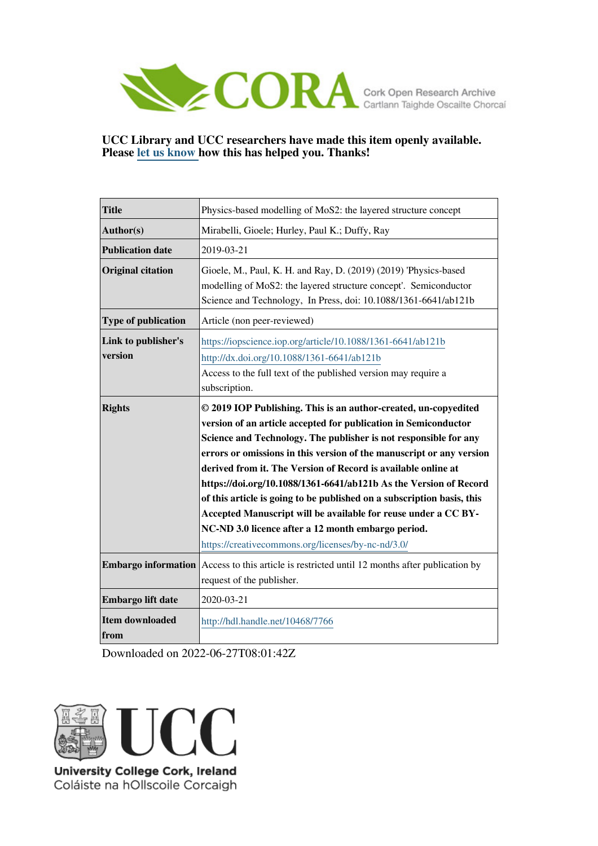

# **UCC Library and UCC researchers have made this item openly available. Please [let us know h](https://libguides.ucc.ie/openaccess/impact?suffix=7766&title=Physics-based modelling of MoS2: the layered structure concept)ow this has helped you. Thanks!**

| <b>Title</b>                   | Physics-based modelling of MoS2: the layered structure concept                                                                                                                                                                                                                                                                                                                                                                                                                                                                                                                                                                                                                                                                                                                                                    |
|--------------------------------|-------------------------------------------------------------------------------------------------------------------------------------------------------------------------------------------------------------------------------------------------------------------------------------------------------------------------------------------------------------------------------------------------------------------------------------------------------------------------------------------------------------------------------------------------------------------------------------------------------------------------------------------------------------------------------------------------------------------------------------------------------------------------------------------------------------------|
| Author(s)                      | Mirabelli, Gioele; Hurley, Paul K.; Duffy, Ray                                                                                                                                                                                                                                                                                                                                                                                                                                                                                                                                                                                                                                                                                                                                                                    |
| <b>Publication date</b>        | 2019-03-21                                                                                                                                                                                                                                                                                                                                                                                                                                                                                                                                                                                                                                                                                                                                                                                                        |
| <b>Original citation</b>       | Gioele, M., Paul, K. H. and Ray, D. (2019) (2019) 'Physics-based<br>modelling of MoS2: the layered structure concept'. Semiconductor<br>Science and Technology, In Press, doi: 10.1088/1361-6641/ab121b                                                                                                                                                                                                                                                                                                                                                                                                                                                                                                                                                                                                           |
| <b>Type of publication</b>     | Article (non peer-reviewed)                                                                                                                                                                                                                                                                                                                                                                                                                                                                                                                                                                                                                                                                                                                                                                                       |
| Link to publisher's<br>version | https://iopscience.iop.org/article/10.1088/1361-6641/ab121b<br>http://dx.doi.org/10.1088/1361-6641/ab121b<br>Access to the full text of the published version may require a<br>subscription.                                                                                                                                                                                                                                                                                                                                                                                                                                                                                                                                                                                                                      |
| <b>Rights</b>                  | © 2019 IOP Publishing. This is an author-created, un-copyedited<br>version of an article accepted for publication in Semiconductor<br>Science and Technology. The publisher is not responsible for any<br>errors or omissions in this version of the manuscript or any version<br>derived from it. The Version of Record is available online at<br>https://doi.org/10.1088/1361-6641/ab121b As the Version of Record<br>of this article is going to be published on a subscription basis, this<br>Accepted Manuscript will be available for reuse under a CC BY-<br>NC-ND 3.0 licence after a 12 month embargo period.<br>https://creativecommons.org/licenses/by-nc-nd/3.0/<br><b>Embargo information</b> Access to this article is restricted until 12 months after publication by<br>request of the publisher. |
| Embargo lift date              | 2020-03-21                                                                                                                                                                                                                                                                                                                                                                                                                                                                                                                                                                                                                                                                                                                                                                                                        |
| <b>Item downloaded</b><br>from | http://hdl.handle.net/10468/7766                                                                                                                                                                                                                                                                                                                                                                                                                                                                                                                                                                                                                                                                                                                                                                                  |

Downloaded on 2022-06-27T08:01:42Z



Coláiste na hOllscoile Corcaigh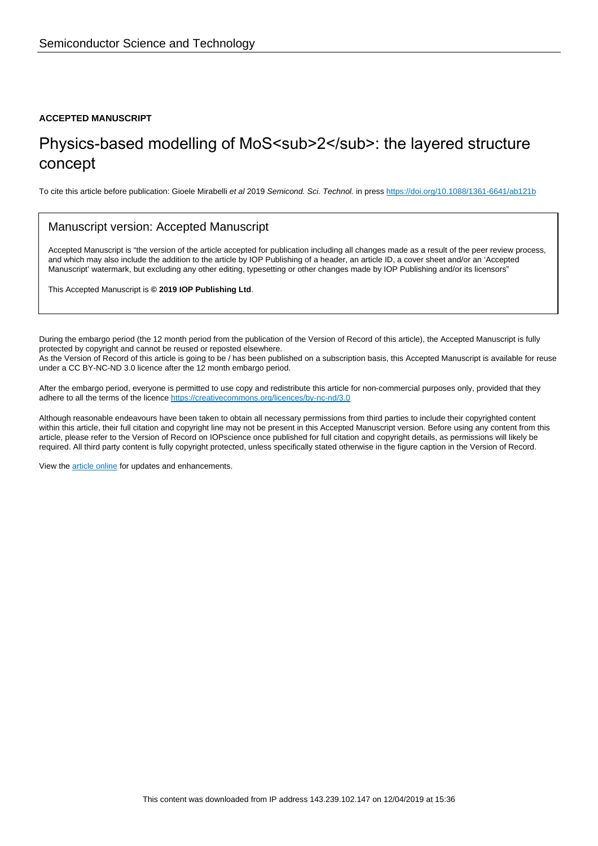#### **ACCEPTED MANUSCRIPT**

# Physics-based modelling of MoS<sub>2</sub>: the layered structure concept

To cite this article before publication: Gioele Mirabelli et al 2019 Semicond. Sci. Technol. in press <https://doi.org/10.1088/1361-6641/ab121b>

### Manuscript version: Accepted Manuscript

Accepted Manuscript is "the version of the article accepted for publication including all changes made as a result of the peer review process, and which may also include the addition to the article by IOP Publishing of a header, an article ID, a cover sheet and/or an 'Accepted Manuscript' watermark, but excluding any other editing, typesetting or other changes made by IOP Publishing and/or its licensors"

This Accepted Manuscript is **© 2019 IOP Publishing Ltd**.

During the embargo period (the 12 month period from the publication of the Version of Record of this article), the Accepted Manuscript is fully protected by copyright and cannot be reused or reposted elsewhere. As the Version of Record of this article is going to be / has been published on a subscription basis, this Accepted Manuscript is available for reuse under a CC BY-NC-ND 3.0 licence after the 12 month embargo period.

After the embargo period, everyone is permitted to use copy and redistribute this article for non-commercial purposes only, provided that they adhere to all the terms of the licence <https://creativecommons.org/licences/by-nc-nd/3.0>

Although reasonable endeavours have been taken to obtain all necessary permissions from third parties to include their copyrighted content within this article, their full citation and copyright line may not be present in this Accepted Manuscript version. Before using any content from this article, please refer to the Version of Record on IOPscience once published for full citation and copyright details, as permissions will likely be required. All third party content is fully copyright protected, unless specifically stated otherwise in the figure caption in the Version of Record.

View the [article online](https://doi.org/10.1088/1361-6641/ab121b) for updates and enhancements.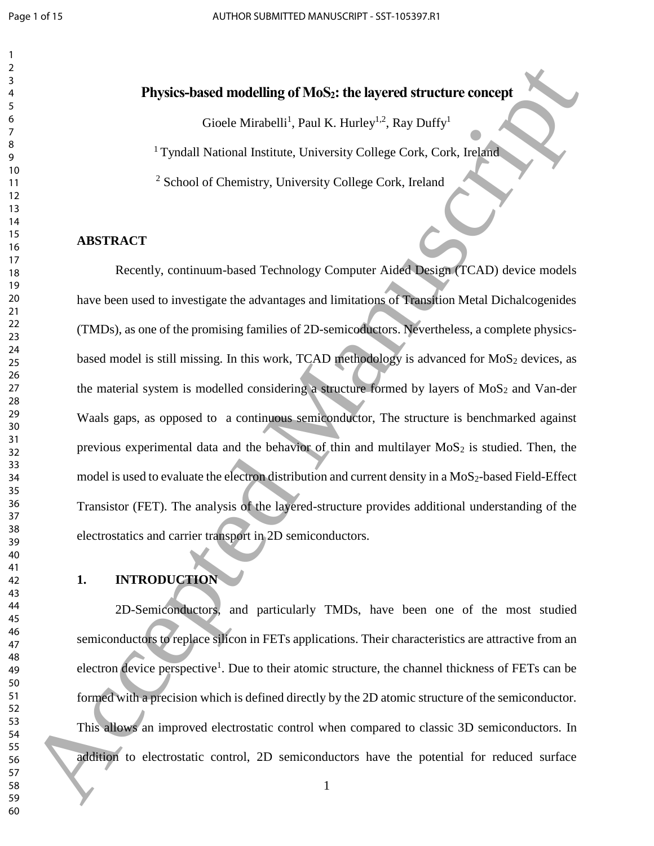# **Physics-based modelling of MoS2: the layered structure concept**

Gioele Mirabelli<sup>1</sup>, Paul K. Hurley<sup>1,2</sup>, Ray Duffy<sup>1</sup>

<sup>1</sup> Tyndall National Institute, University College Cork, Cork, Ireland

School of Chemistry, University College Cork, Ireland

#### **ABSTRACT**

Recently, continuum-based Technology Computer Aided Design (TCAD) device models have been used to investigate the advantages and limitations of Transition Metal Dichalcogenides (TMDs), as one of the promising families of 2D-semicoductors. Nevertheless, a complete physicsbased model is still missing. In this work, TCAD methodology is advanced for  $MoS<sub>2</sub>$  devices, as the material system is modelled considering a structure formed by layers of  $MoS<sub>2</sub>$  and Van-der Waals gaps, as opposed to a continuous semiconductor, The structure is benchmarked against previous experimental data and the behavior of thin and multilayer  $MoS<sub>2</sub>$  is studied. Then, the model is used to evaluate the electron distribution and current density in a  $MoS<sub>2</sub>$ -based Field-Effect Transistor (FET). The analysis of the layered-structure provides additional understanding of the electrostatics and carrier transport in 2D semiconductors. **1988**<br>
1998 - This substitute and the state of the state of the state of the state of the state of the state of the state of the state of the state of the state of the state of the state of the state of the state of the

# **1. INTRODUCTION**

2D-Semiconductors, and particularly TMDs, have been one of the most studied semiconductors to replace silicon in FETs applications. Their characteristics are attractive from an electron device perspective<sup>1</sup>. Due to their atomic structure, the channel thickness of FETs can be formed with a precision which is defined directly by the 2D atomic structure of the semiconductor. This allows an improved electrostatic control when compared to classic 3D semiconductors. In addition to electrostatic control, 2D semiconductors have the potential for reduced surface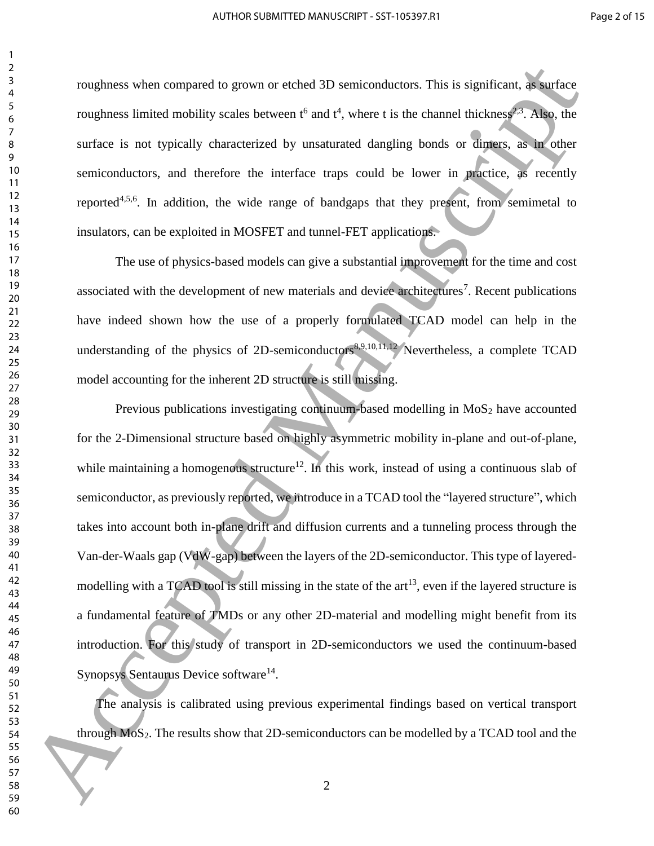roughness when compared to grown or etched 3D semiconductors. This is significant, as surface roughness limited mobility scales between  $t^6$  and  $t^4$ , where t is the channel thickness<sup>2,3</sup>. Also, the surface is not typically characterized by unsaturated dangling bonds or dimers, as in other semiconductors, and therefore the interface traps could be lower in practice, as recently reported<sup>4,5,6</sup>. In addition, the wide range of bandgaps that they present, from semimetal to insulators, can be exploited in MOSFET and tunnel-FET applications.

<span id="page-3-2"></span><span id="page-3-1"></span><span id="page-3-0"></span>The use of physics-based models can give a substantial improvement for the time and cost associated with the development of new materials and device architectures<sup>7</sup>. Recent publications have indeed shown how the use of a properly formulated TCAD model can help in the understanding of the physics of 2D-semiconductors<sup>8,9,10,11,12</sup> Nevertheless, a complete TCAD model accounting for the inherent 2D structure is still missing.

Previous publications investigating continuum-based modelling in  $MoS<sub>2</sub>$  have accounted for the 2-Dimensional structure based on highly asymmetric mobility in-plane and out-of-plane, while maintaining a homogenous structure<sup>12</sup>. In this work, instead of using a continuous slab of semiconductor, as previously reported, we introduce in a TCAD tool the "layered structure", which takes into account both in-plane drift and diffusion currents and a tunneling process through the Van-der-Waals gap (VdW-gap) between the layers of the 2D-semiconductor. This type of layeredmodelling with a TCAD tool is still missing in the state of the  $art^{13}$ , even if the layered structure is a fundamental feature of TMDs or any other 2D-material and modelling might benefit from its introduction. For this study of transport in 2D-semiconductors we used the continuum-based Synopsys Sentaurus Device software<sup>14</sup>. ranghness when compared to given or eighed by seriation<br>them is is positive and the consideration of the state of the state of the state of the state of the state of the state of the state of the state of the state of the

The analysis is calibrated using previous experimental findings based on vertical transport through MoS2. The results show that 2D-semiconductors can be modelled by a TCAD tool and the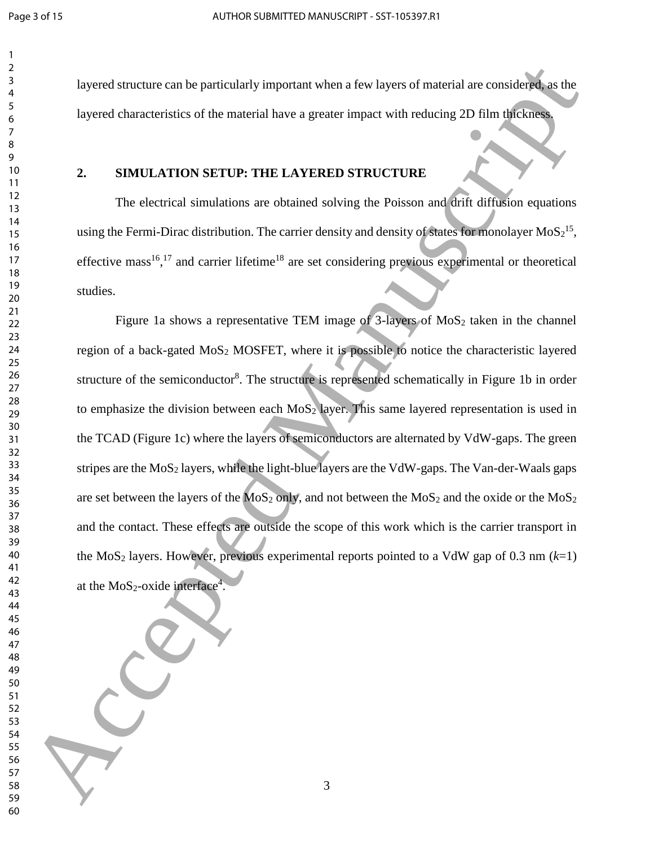layered structure can be particularly important when a few layers of material are considered, as the layered characteristics of the material have a greater impact with reducing 2D film thickness.

### **2. SIMULATION SETUP: THE LAYERED STRUCTURE**

The electrical simulations are obtained solving the Poisson and drift diffusion equations using the Fermi-Dirac distribution. The carrier density and density of states for monolayer  $MoS<sub>2</sub><sup>15</sup>$ , effective mass<sup>16</sup>,<sup>17</sup> and carrier lifetime<sup>18</sup> are set considering previous experimental or theoretical studies.

Figure 1a shows a representative TEM image of -layers of MoS<sub>2</sub> taken in the channel region of a back-gated MoS<sup>2</sup> MOSFET, where it is possible to notice the characteristic layered structure of the semiconductor<sup>8</sup>. The structure is represented schematically in Figure 1b in order to emphasize the division between each  $MoS<sub>2</sub>$  layer. This same layered representation is used in the TCAD (Figure 1c) where the layers of semiconductors are alternated by VdW-gaps. The green stripes are the  $MoS<sub>2</sub>$  layers, while the light-blue layers are the VdW-gaps. The Van-der-Waals gaps are set between the layers of the  $MoS_2$  only, and not between the  $MoS_2$  and the oxide or the  $MoS_2$ and the contact. These effects are outside the scope of this work which is the carrier transport in the MoS<sub>2</sub> layers. However, previous experimental reports pointed to a VdW gap of 0.3 nm  $(k=1)$ at the  $MoS_2$ -oxide interface<sup>4</sup>. Expected structure can be particularly impurant when a few layers of muterial are considered as the speed characteristics of the material have a geneter inqual with realizing 2D film algebras<br>
16 Speed characteristics of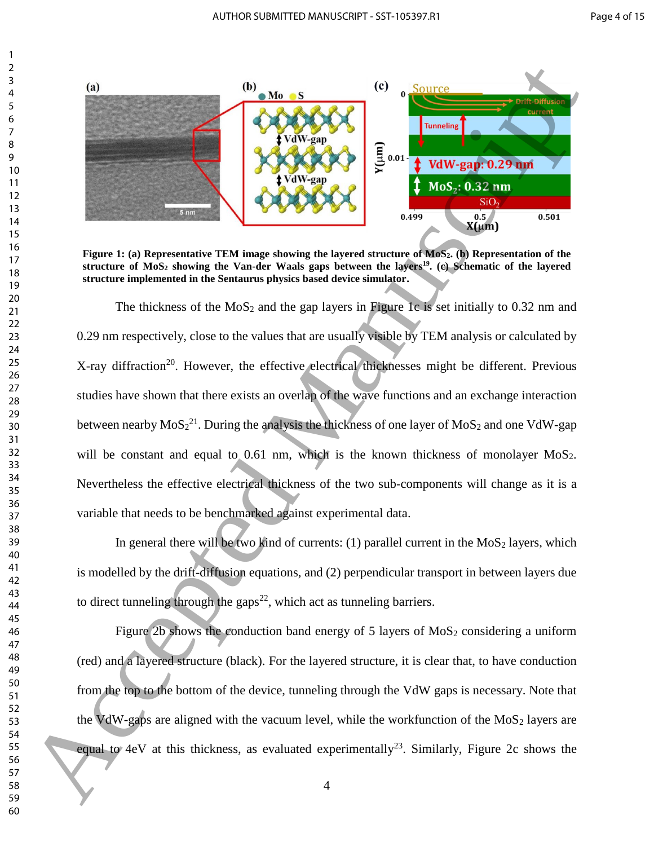

**Figure 1: (a) Representative TEM image showing the layered structure of MoS2. (b) Representation of the structure of MoS<sup>2</sup> showing the Van-der Waals gaps between the layers 19 . (c) Schematic of the layered structure implemented in the Sentaurus physics based device simulator.** 

The thickness of the  $MoS<sub>2</sub>$  and the gap layers in Figure 1c is set initially to 0.32 nm and 0.29 nm respectively, close to the values that are usually visible by TEM analysis or calculated by X-ray diffraction<sup>20</sup>. However, the effective electrical thicknesses might be different. Previous studies have shown that there exists an overlap of the wave functions and an exchange interaction between nearby  $\text{MoS}_2^{21}$ . During the analysis the thickness of one layer of  $\text{MoS}_2$  and one VdW-gap will be constant and equal to 0.61 nm, which is the known thickness of monolayer MoS<sub>2</sub>. Nevertheless the effective electrical thickness of the two sub-components will change as it is a variable that needs to be benchmarked against experimental data. 60<br> **60** Accepted Manuscriptics Control and Society (C) a Number of New York Control and Society and Society and Society and Society and Society and Society and Society and Society and Society and Society and Society and

In general there will be two kind of currents: (1) parallel current in the  $MoS<sub>2</sub>$  layers, which is modelled by the drift-diffusion equations, and (2) perpendicular transport in between layers due to direct tunneling through the gaps<sup>22</sup>, which act as tunneling barriers.

<span id="page-5-0"></span>Figure 2b shows the conduction band energy of 5 layers of  $MoS<sub>2</sub>$  considering a uniform (red) and a layered structure (black). For the layered structure, it is clear that, to have conduction from the top to the bottom of the device, tunneling through the VdW gaps is necessary. Note that the VdW-gaps are aligned with the vacuum level, while the workfunction of the  $M_0S_2$  layers are equal to 4eV at this thickness, as evaluated experimentally<sup>23</sup>. Similarly, Figure 2c shows the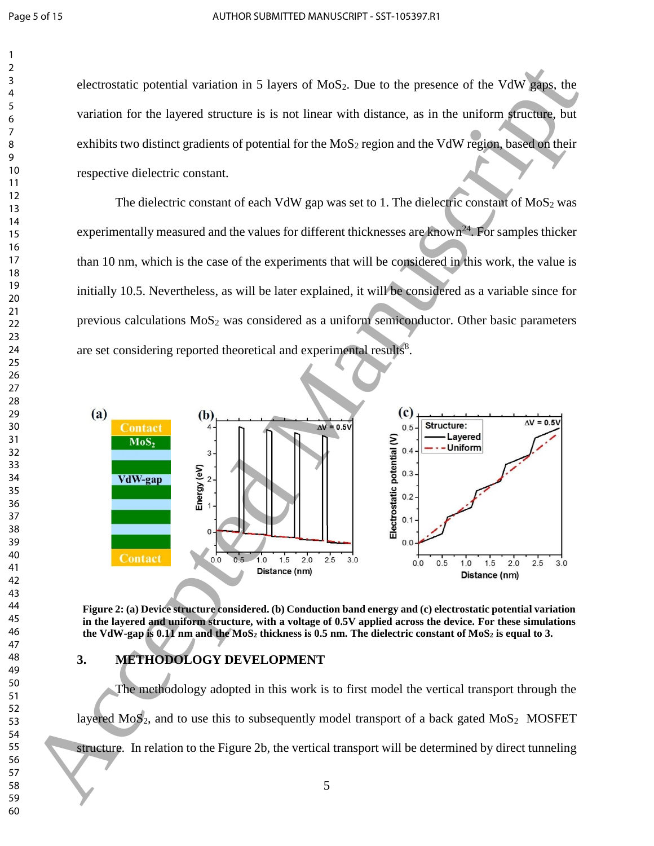electrostatic potential variation in 5 layers of  $MoS<sub>2</sub>$ . Due to the presence of the VdW gaps, the variation for the layered structure is is not linear with distance, as in the uniform structure, but exhibits two distinct gradients of potential for the  $MoS<sub>2</sub>$  region and the VdW region, based on their respective dielectric constant.

The dielectric constant of each VdW gap was set to 1. The dielectric constant of  $MoS<sub>2</sub>$  was experimentally measured and the values for different thicknesses are known<sup>24</sup>. For samples thicker than 10 nm, which is the case of the experiments that will be considered in this work, the value is initially 10.5. Nevertheless, as will be later explained, it will be considered as a variable since for previous calculations  $MoS<sub>2</sub>$  was considered as a uniform semiconductor. Other basic parameters are set considering reported theoretical and experimental results<sup>8</sup>.



**Figure 2: (a) Device structure considered. (b) Conduction band energy and (c) electrostatic potential variation in the layered and uniform structure, with a voltage of 0.5V applied across the device. For these simulations the VdW-gap is 0.11 nm and the MoS<sup>2</sup> thickness is 0.5 nm. The dielectric constant of MoS<sup>2</sup> is equal to 3.**

#### **3. METHODOLOGY DEVELOPMENT**

The methodology adopted in this work is to first model the vertical transport through the layered  $MoS<sub>2</sub>$ , and to use this to subsequently model transport of a back gated  $MoS<sub>2</sub>$  MOSFET structure. In relation to the Figure 2b, the vertical transport will be determined by direct tunneling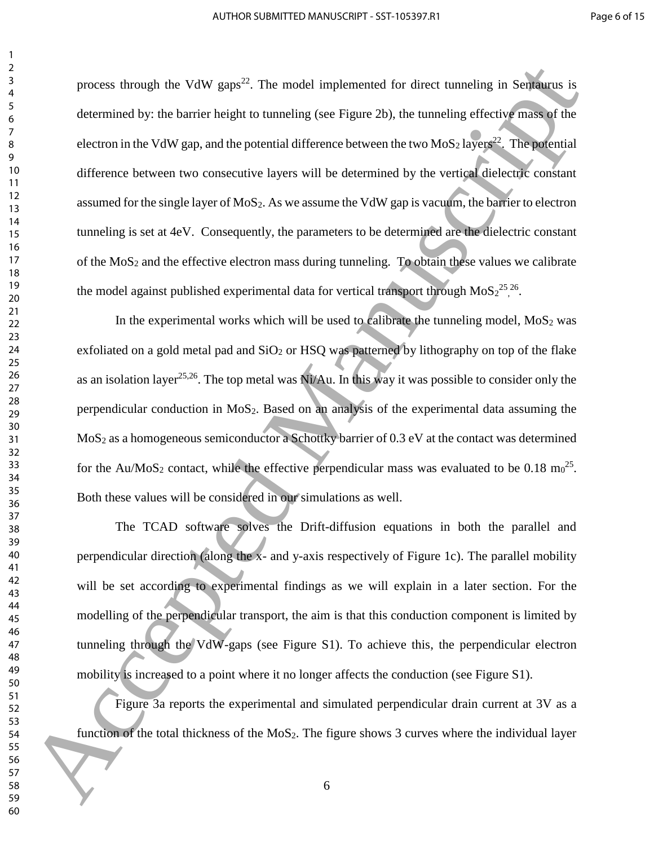process through the VdW gaps<sup>22</sup>. The model implemented for direct tunneling in Sentaurus is determined by: the barrier height to tunneling (see Figure 2b), the tunneling effective mass of the electron in the VdW gap, and the potential difference between the two  $MoS<sub>2</sub>$  layers<sup>22</sup>. The potential difference between two consecutive layers will be determined by the vertical dielectric constant assumed for the single layer of  $MoS_2$ . As we assume the VdW gap is vacuum, the barrier to electron tunneling is set at 4eV. Consequently, the parameters to be determined are the dielectric constant of the  $MoS<sub>2</sub>$  and the effective electron mass during tunneling. To obtain these values we calibrate the model against published experimental data for vertical transport through  $MoS<sub>2</sub><sup>25,26</sup>$ . Process through the VitW gapa<sup>22</sup>. The model implemented for direct turneding in Selfulnes is<br>determined by the barrier height to numering (see Figure 2b), the turneding effective material of<br>determined Way the barrier he

<span id="page-7-1"></span><span id="page-7-0"></span>In the experimental works which will be used to calibrate the tunneling model,  $MoS<sub>2</sub>$  was exfoliated on a gold metal pad and  $SiO<sub>2</sub>$  or HSQ was patterned by lithography on top of the flake as an isolation layer<sup>25,26</sup>. The top metal was Ni/Au. In this way it was possible to consider only the perpendicular conduction in  $MoS<sub>2</sub>$ . Based on an analysis of the experimental data assuming the MoS<sub>2</sub> as a homogeneous semiconductor a Schottky barrier of 0.3 eV at the contact was determined for the Au/MoS<sub>2</sub> contact, while the effective perpendicular mass was evaluated to be  $0.18 \text{ m}^{-25}$ . Both these values will be considered in our simulations as well.

The TCAD software solves the Drift-diffusion equations in both the parallel and perpendicular direction (along the x- and y-axis respectively of Figure 1c). The parallel mobility will be set according to experimental findings as we will explain in a later section. For the modelling of the perpendicular transport, the aim is that this conduction component is limited by tunneling through the VdW-gaps (see Figure S1). To achieve this, the perpendicular electron mobility is increased to a point where it no longer affects the conduction (see Figure S1).

Figure 3a reports the experimental and simulated perpendicular drain current at 3V as a function of the total thickness of the  $MoS<sub>2</sub>$ . The figure shows 3 curves where the individual layer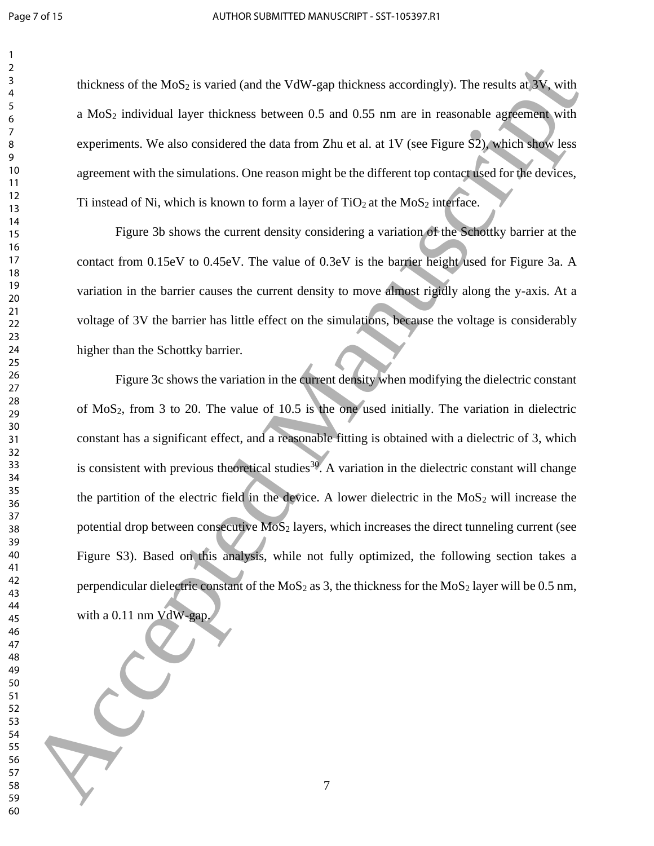thickness of the  $MoS<sub>2</sub>$  is varied (and the VdW-gap thickness accordingly). The results at 3V, with a MoS<sup>2</sup> individual layer thickness between 0.5 and 0.55 nm are in reasonable agreement with experiments. We also considered the data from Zhu et al. at 1V (see Figure S2), which show less agreement with the simulations. One reason might be the different top contact used for the devices, Ti instead of Ni, which is known to form a layer of  $TiO<sub>2</sub>$  at the MoS<sub>2</sub> interface.

Figure 3b shows the current density considering a variation of the Schottky barrier at the contact from 0.15eV to 0.45eV. The value of 0.3eV is the barrier height used for Figure 3a. A variation in the barrier causes the current density to move almost rigidly along the y-axis. At a voltage of 3V the barrier has little effect on the simulations, because the voltage is considerably higher than the Schottky barrier.

Figure 3c shows the variation in the current density when modifying the dielectric constant of  $MoS<sub>2</sub>$ , from 3 to 20. The value of 10.5 is the one used initially. The variation in dielectric constant has a significant effect, and a reasonable fitting is obtained with a dielectric of 3, which is consistent with previous theoretical studies<sup>30</sup>. A variation in the dielectric constant will change the partition of the electric field in the device. A lower dielectric in the  $MoS<sub>2</sub>$  will increase the potential drop between consecutive  $M_0S_2$  layers, which increases the direct tunneling current (see Figure S3). Based on this analysis, while not fully optimized, the following section takes a perpendicular dielectric constant of the  $MoS<sub>2</sub>$  as 3, the thickness for the  $MoS<sub>2</sub>$  layer will be 0.5 nm, with a 0.11 nm VdW-gap. This based on the [M](#page-10-0)oSs is varied (and the VOV-gap thrickness accordingly). The results at New York in the MoSs in Simulation of the MoSs matrix and Manuscript and Manuscript and Manuscript and Manuscript and the systems o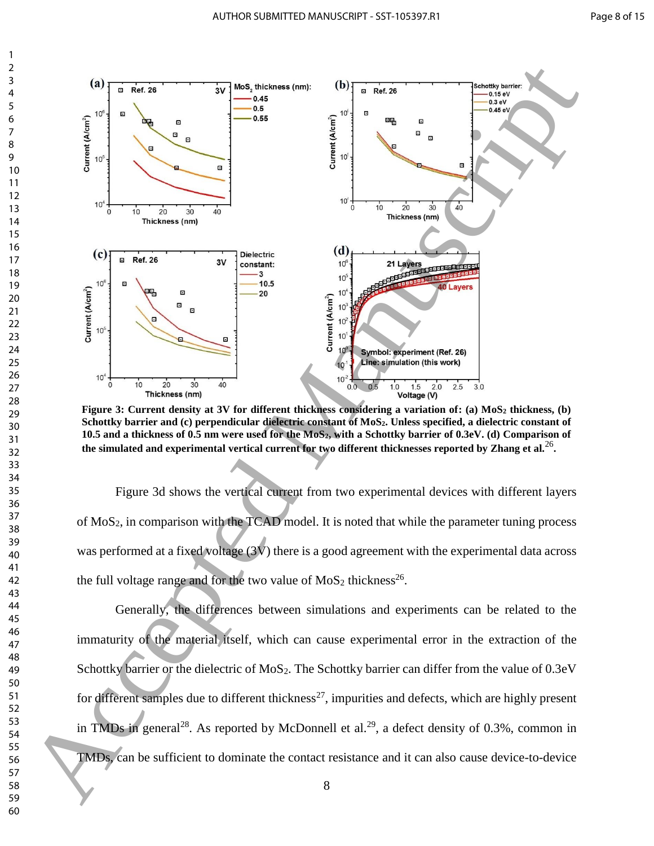

**Figure 3: Current density at 3V for different thickness considering a variation of: (a) MoS<sup>2</sup> thickness, (b) Schottky barrier and (c) perpendicular dielectric constant of MoS2. Unless specified, a dielectric constant of 10.5 and a thickness of 0.5 nm were used for the MoS2, with a Schottky barrier of 0.3eV. (d) Comparison of the simulated and experimental vertical current for two different thicknesses reported by Zhang et al.**<sup>26</sup> **.**

Figure 3d shows the vertical current from two experimental devices with different layers of MoS2, in comparison with the TCAD model. It is noted that while the parameter tuning process was performed at a fixed voltage (3V) there is a good agreement with the experimental data across the full voltage range and for the two value of  $MoS<sub>2</sub>$  thickness<sup>26</sup>.

Generally, the differences between simulations and experiments can be related to the immaturity of the material itself, which can cause experimental error in the extraction of the Schottky barrier or the dielectric of MoS<sub>2</sub>. The Schottky barrier can differ from the value of 0.3eV for different samples due to different thickness<sup>27</sup>, impurities and defects, which are highly present in TMDs in general<sup>28</sup>. As reported by McDonnell et al.<sup>29</sup>, a defect density of 0.3%, common in TMDs, can be sufficient to dominate the contact resistance and it can also cause device-to-device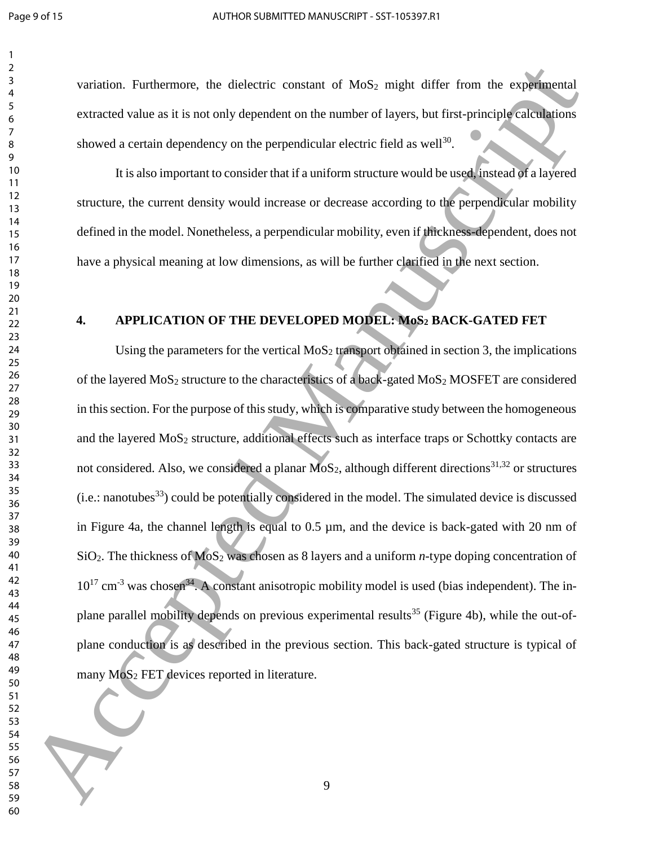variation. Furthermore, the dielectric constant of  $MoS<sub>2</sub>$  might differ from the experimental extracted value as it is not only dependent on the number of layers, but first-principle calculations showed a certain dependency on the perpendicular electric field as well $^{30}$ .

<span id="page-10-0"></span>It is also important to consider that if a uniform structure would be used, instead of a layered structure, the current density would increase or decrease according to the perpendicular mobility defined in the model. Nonetheless, a perpendicular mobility, even if thickness-dependent, does not have a physical meaning at low dimensions, as will be further clarified in the next section.

# <span id="page-10-1"></span>**4. APPLICATION OF THE DEVELOPED MODEL: MoS<sup>2</sup> BACK-GATED FET**

Using the parameters for the vertical  $MoS<sub>2</sub>$  transport obtained in section 3, the implications of the layered  $MoS<sub>2</sub>$  structure to the characteristics of a back-gated  $MoS<sub>2</sub>$  MOSFET are considered in this section. For the purpose of this study, which is comparative study between the homogeneous and the layered  $MoS<sub>2</sub>$  structure, additional effects such as interface traps or Schottky contacts are not considered. Also, we considered a planar  $MoS<sub>2</sub>$ , although different directions<sup>31,32</sup> or structures  $(i.e.:$  nanotubes<sup>33</sup>) could be potentially considered in the model. The simulated device is discussed in Figure 4a, the channel length is equal to  $0.5 \mu$ m, and the device is back-gated with 20 nm of SiO2. The thickness of MoS<sup>2</sup> was chosen as 8 layers and a uniform *n*-type doping concentration of  $10^{17}$  cm<sup>-3</sup> was chosen<sup>34</sup>. A constant anisotropic mobility model is used (bias independent). The inplane parallel mobility depends on previous experimental results<sup>35</sup> (Figure 4b), while the out-ofplane conduction is as described in the previous section. This back-gated structure is typical of many  $MoS<sub>2</sub> FET$  devices reported in literature. For the purpose of the state of the state of the state of the state of the state of the state of the state of the state of the state of the state of the state of the state of the state of the state of the state of the sta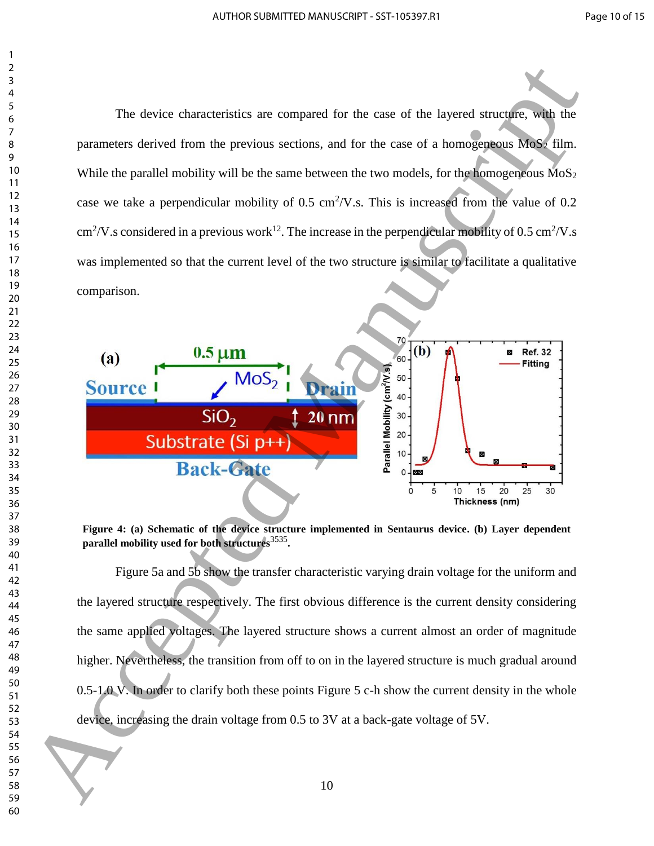The device characteristics are compared for the case of the layered structure, with the parameters derived from the previous sections, and for the case of a homogeneous  $\overline{M_0S_2}$  film. While the parallel mobility will be the same between the two models, for the homogeneous  $M_0S_2$ case we take a perpendicular mobility of  $0.5 \text{ cm}^2/\text{V}$ .s. This is increased from the value of  $0.2$  $\text{cm}^2/\text{V}$ .s considered in a previous work<sup>12</sup>. The increase in the perpendicular mobility of 0.5 cm<sup>2</sup>/V.s was implemented so that the current level of the two structure is similar to facilitate a qualitative comparison.



**Figure 4: (a) Schematic of the device structure implemented in Sentaurus device. (b) Layer dependent parallel mobility used for both structures**<sup>3535</sup> **.** 

Figure 5a and 5b show the transfer characteristic varying drain voltage for the uniform and the layered structure respectively. The first obvious difference is the current density considering the same applied voltages. The layered structure shows a current almost an order of magnitude higher. Nevertheless, the transition from off to on in the layered structure is much gradual around 0.5-1.0 V. In order to clarify both these points Figure 5 c-h show the current density in the whole device, increasing the drain voltage from 0.5 to 3V at a back-gate voltage of 5V.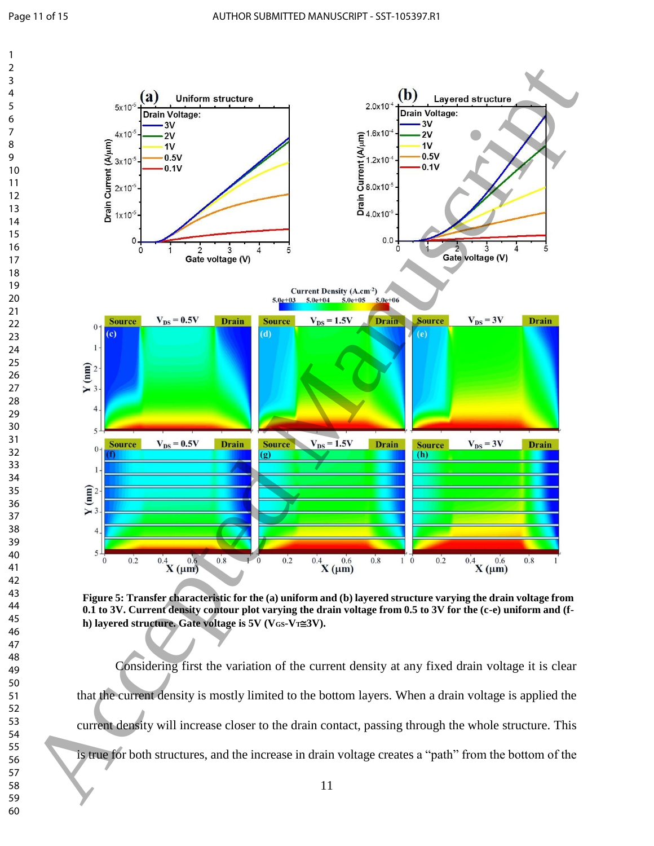

**Figure 5: Transfer characteristic for the (a) uniform and (b) layered structure varying the drain voltage from 0.1 to 3V. Current density contour plot varying the drain voltage from 0.5 to 3V for the (c-e) uniform and (fh**) layered structure. Gate voltage is 5V ( $V_{GS}$ - $V_T \cong 3V$ ).

Considering first the variation of the current density at any fixed drain voltage it is clear that the current density is mostly limited to the bottom layers. When a drain voltage is applied the current density will increase closer to the drain contact, passing through the whole structure. This is true for both structures, and the increase in drain voltage creates a "path" from the bottom of the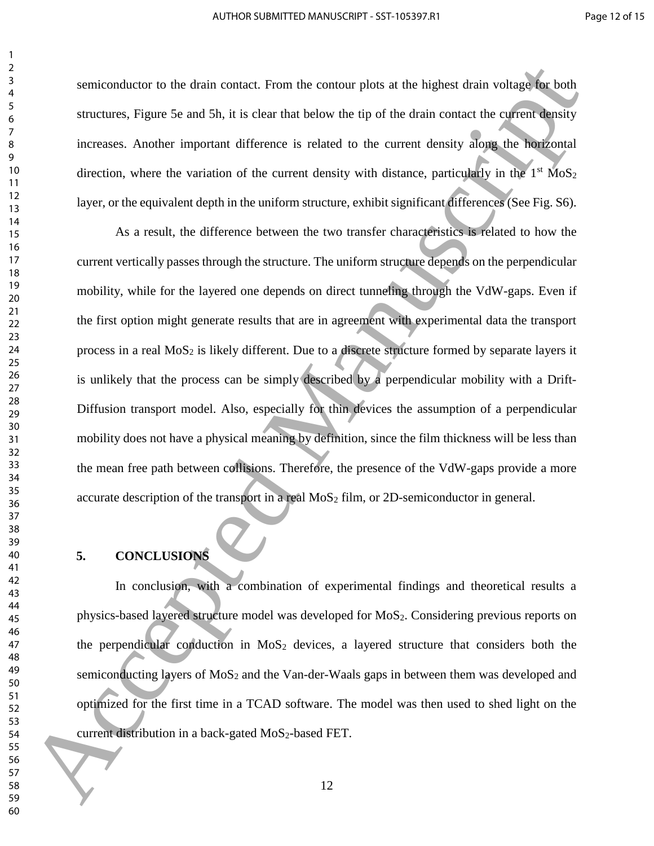semiconductor to the drain contact. From the contour plots at the highest drain voltage for both structures, Figure 5e and 5h, it is clear that below the tip of the drain contact the current density increases. Another important difference is related to the current density along the horizontal direction, where the variation of the current density with distance, particularly in the  $1<sup>st</sup> MoS<sub>2</sub>$ layer, or the equivalent depth in the uniform structure, exhibit significant differences (See Fig. S6).

As a result, the difference between the two transfer characteristics is related to how the current vertically passes through the structure. The uniform structure depends on the perpendicular mobility, while for the layered one depends on direct tunneling through the VdW-gaps. Even if the first option might generate results that are in agreement with experimental data the transport process in a real  $MoS<sub>2</sub>$  is likely different. Due to a discrete structure formed by separate layers it is unlikely that the process can be simply described by a perpendicular mobility with a Drift-Diffusion transport model. Also, especially for thin devices the assumption of a perpendicular mobility does not have a physical meaning by definition, since the film thickness will be less than the mean free path between collisions. Therefore, the presence of the VdW-gaps provide a more accurate description of the transport in a real  $MoS<sub>2</sub>$  film, or 2D-semiconductor in general. Solution of the drain contact. From the contour plus at the highest disk restating behavior and the strain contact the content the content the content of the drain contact the content the content of the drain contact the

#### **5. CONCLUSIONS**

In conclusion, with a combination of experimental findings and theoretical results a physics-based layered structure model was developed for MoS2. Considering previous reports on the perpendicular conduction in  $MoS<sub>2</sub>$  devices, a layered structure that considers both the semiconducting layers of  $MoS<sub>2</sub>$  and the Van-der-Waals gaps in between them was developed and optimized for the first time in a TCAD software. The model was then used to shed light on the current distribution in a back-gated  $MoS_2$ -based FET.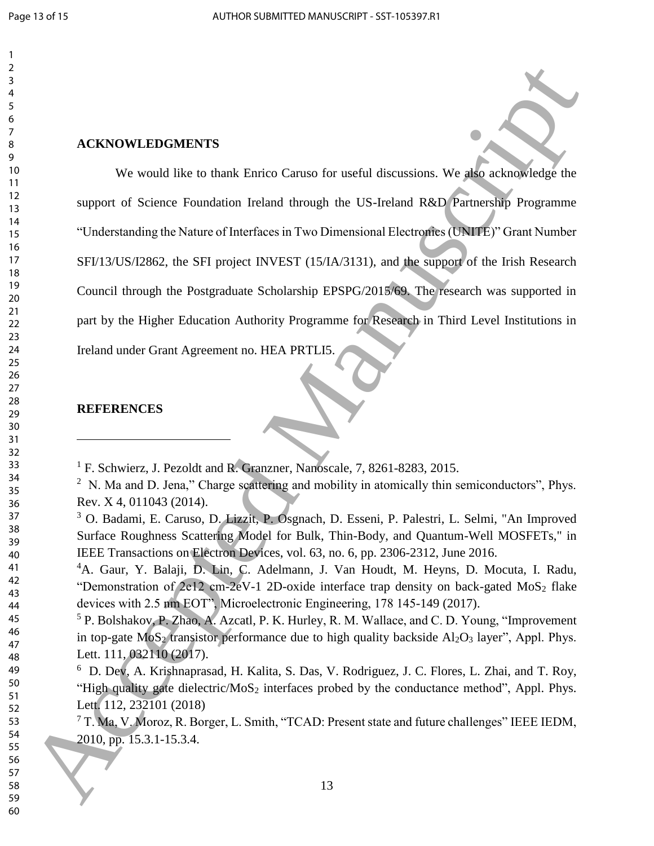#### 

### **ACKNOWLEDGMENTS**

We would like to thank Enrico Caruso for useful discussions. We also acknowledge the support of Science Foundation Ireland through the US-Ireland R&D Partnership Programme "Understanding the Nature of Interfaces in Two Dimensional Electronics (UNITE)" Grant Number SFI/13/US/I2862, the SFI project INVEST (15/IA/3131), and the support of the Irish Research Council through the Postgraduate Scholarship EPSPG/2015/69. The research was supported in part by the Higher Education Authority Programme for Research in Third Level Institutions in Ireland under Grant Agreement no. HEA PRTLI5. ACKNOWLEDGMENTS<br>
<sup>2</sup> ACKNOWLEDGMENTS<br>
<sup>2</sup> ACKNOWLEDGMENTS<br>
<sup>2</sup> apport of selection field the to must Furio Caroon for medial discussions. We also accomplishe the<br>
<sup>19</sup><br>
19<br>
19<br>
19<br>
19 apport of selection field Manuscript

# **REFERENCES**

 $\overline{a}$ 

<sup>&</sup>lt;sup>1</sup> F. Schwierz, J. Pezoldt and R. Granzner, Nanoscale, 7, 8261-8283, 2015.

 N. Ma and D. Jena," Charge scattering and mobility in atomically thin semiconductors", Phys. Rev. X 4, 011043 (2014).

 O. Badami, E. Caruso, D. Lizzit, P. Osgnach, D. Esseni, P. Palestri, L. Selmi, "An Improved Surface Roughness Scattering Model for Bulk, Thin-Body, and Quantum-Well MOSFETs," in IEEE Transactions on Electron Devices, vol. 63, no. 6, pp. 2306-2312, June 2016.

A. Gaur, Y. Balaji, D. Lin, C. Adelmann, J. Van Houdt, M. Heyns, D. Mocuta, I. Radu, "Demonstration of 2e12 cm-2eV-1 2D-oxide interface trap density on back-gated MoS<sub>2</sub> flake devices with 2.5 nm EOT", Microelectronic Engineering, 178 145-149 (2017).

 P. Bolshakov, P. Zhao, A. Azcatl, P. K. Hurley, R. M. Wallace, and C. D. Young, "Improvement in top-gate  $M_0S_2$  transistor performance due to high quality backside  $Al_2O_3$  layer", Appl. Phys. Lett. 111, 032110 (2017).

 D. Dev, A. Krishnaprasad, H. Kalita, S. Das, V. Rodriguez, J. C. Flores, L. Zhai, and T. Roy, "High quality gate dielectric/MoS<sub>2</sub> interfaces probed by the conductance method", Appl. Phys. Lett. 112, 232101 (2018)

 T. Ma, V. Moroz, R. Borger, L. Smith, "TCAD: Present state and future challenges" IEEE IEDM, 2010, pp. 15.3.1-15.3.4.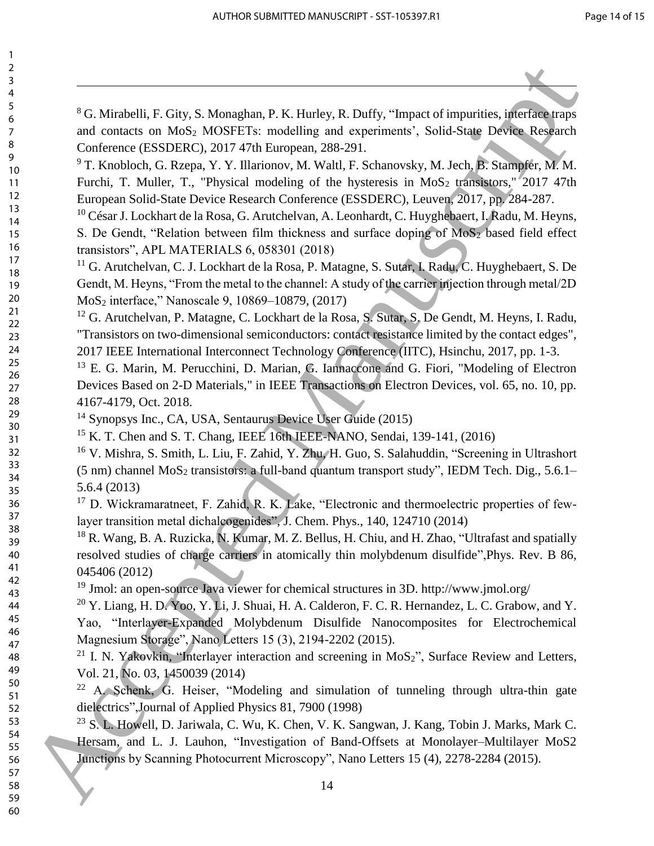$\overline{a}$ 

 G. Mirabelli, F. Gity, S. Monaghan, P. K. Hurley, R. Duffy, "Impact of impurities, interface traps and contacts on MoS<sup>2</sup> MOSFETs: modelling and experiments', Solid-State Device Research Conference (ESSDERC), 2017 47th European, 288-291. 2<br>
FC Miratelli, F. Gius, S. Monadeu, P. K. Harley, R. Daffy, "impact of inputries inferred random<br>
and consistent Manuscript and SS-MOSHLE muldling and systems of inputries inferred manuscript and the manuscript of T. Ka

<sup>9</sup> T. Knobloch, G. Rzepa, Y. Y. Illarionov, M. Waltl, F. Schanovsky, M. Jech, B. Stampfer, M. M. Furchi, T. Muller, T., "Physical modeling of the hysteresis in  $MoS<sub>2</sub>$  transistors," 2017 47th European Solid-State Device Research Conference (ESSDERC), Leuven, 2017, pp. 284-287.

 César J. Lockhart de la Rosa, G. Arutchelvan, A. Leonhardt, C. Huyghebaert, I. Radu, M. Heyns, S. De Gendt, "Relation between film thickness and surface doping of MoS<sub>2</sub> based field effect transistors", APL MATERIALS 6, 058301 (2018)

<sup>11</sup> G. Arutchelvan, C. J. Lockhart de la Rosa, P. Matagne, S. Sutar, I. Radu, C. Huyghebaert, S. De Gendt, M. Heyns, "From the metal to the channel: A study of the carrier injection through metal/2D MoS<sup>2</sup> interface," Nanoscale 9, 10869–10879, (2017)

<sup>12</sup> G. Arutchelvan, P. Matagne, C. Lockhart de la Rosa, S. Sutar, S. De Gendt, M. Heyns, I. Radu, "Transistors on two-dimensional semiconductors: contact resistance limited by the contact edges", 2017 IEEE International Interconnect Technology Conference (IITC), Hsinchu, 2017, pp. 1-3.

<sup>13</sup> E. G. Marin, M. Perucchini, D. Marian, G. Iannaccone and G. Fiori, "Modeling of Electron Devices Based on 2-D Materials," in IEEE Transactions on Electron Devices, vol. 65, no. 10, pp. 4167-4179, Oct. 2018.

Synopsys Inc., CA, USA, Sentaurus Device User Guide (2015)

<sup>15</sup> K. T. Chen and S. T. Chang, IEEE 16th IEEE-NANO, Sendai, 139-141, (2016)

 V. Mishra, S. Smith, L. Liu, F. Zahid, Y. Zhu, H. Guo, S. Salahuddin, "Screening in Ultrashort (5 nm) channel  $MoS<sub>2</sub>$  transistors: a full-band quantum transport study", IEDM Tech. Dig., 5.6.1– 5.6.4 (2013)

<sup>17</sup> D. Wickramaratneet, F. Zahid, R. K. Lake, "Electronic and thermoelectric properties of fewlayer transition metal dichalcogenides", J. Chem. Phys., 140, 124710 (2014)

<sup>18</sup> R. Wang, B. A. Ruzicka, N. Kumar, M. Z. Bellus, H. Chiu, and H. Zhao, "Ultrafast and spatially resolved studies of charge carriers in atomically thin molybdenum disulfide",Phys. Rev. B 86, 045406 (2012)

Jmol: an open-source Java viewer for chemical structures in 3D. http://www.jmol.org/

 $^{20}$  Y. Liang, H. D. Yoo, Y. Li, J. Shuai, H. A. Calderon, F. C. R. Hernandez, L. C. Grabow, and Y. Yao, "Interlayer-Expanded Molybdenum Disulfide Nanocomposites for Electrochemical Magnesium Storage", Nano Letters 15 (3), 2194-2202 (2015).

<sup>21</sup> I. N. Yakovkin, "Interlayer interaction and screening in  $MoS<sub>2</sub>$ ", Surface Review and Letters, Vol. 21, No. 03, 1450039 (2014)

<sup>22</sup> A. Schenk, G. Heiser, "Modeling and simulation of tunneling through ultra-thin gate dielectrics",Journal of Applied Physics 81, 7900 (1998)

 S. L. Howell, D. Jariwala, C. Wu, K. Chen, V. K. Sangwan, J. Kang, Tobin J. Marks, Mark C. Hersam, and L. J. Lauhon, "Investigation of Band-Offsets at Monolayer–Multilayer MoS2 Junctions by Scanning Photocurrent Microscopy", Nano Letters 15 (4), 2278-2284 (2015).